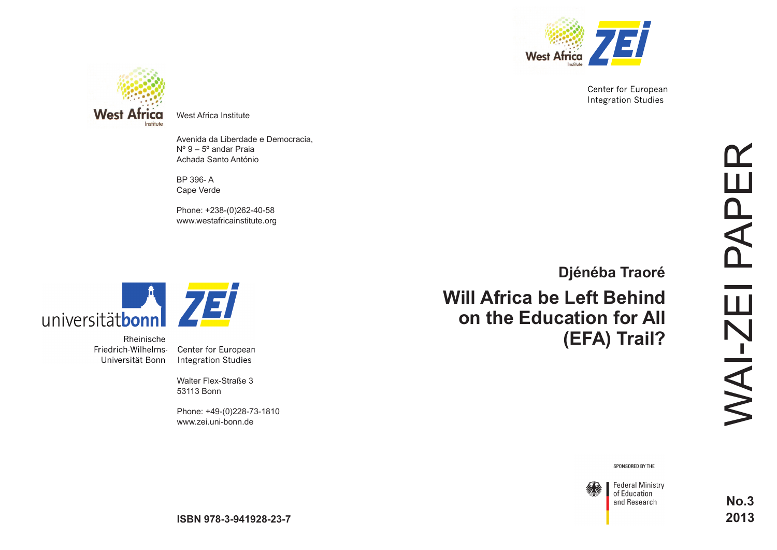

Center for European **Integration Studies** 



West Africa Institute

Avenida da Liberdade e Democracia, Nº 9 – 5º andar Praia Achada Santo António

BP 396- A Cape Verde

Phone: +238-(0)262-40-58 www.westafricainstitute.org



Rheinische Friedrich-Wilhelms-Universität Bonn

Center for European **Integration Studies** 

Walter Flex-Straße 3 53113 Bonn

Phone: +49-(0)228-73-1810 www.zei.uni-bonn.de

**Will Africa be Left Behind on the Education for All (EFA) Trail? [Djénéba Traoré](http://www.westafricainstitute.org/index.php/en/2013-01-23-07-59-53/2012-11-16-10-59-19/12-general/content/secretariat-of-wai/21-managing-director)**

SPONSORED BY THE



**Federal Ministry** of Education and Research

**No.3 2013**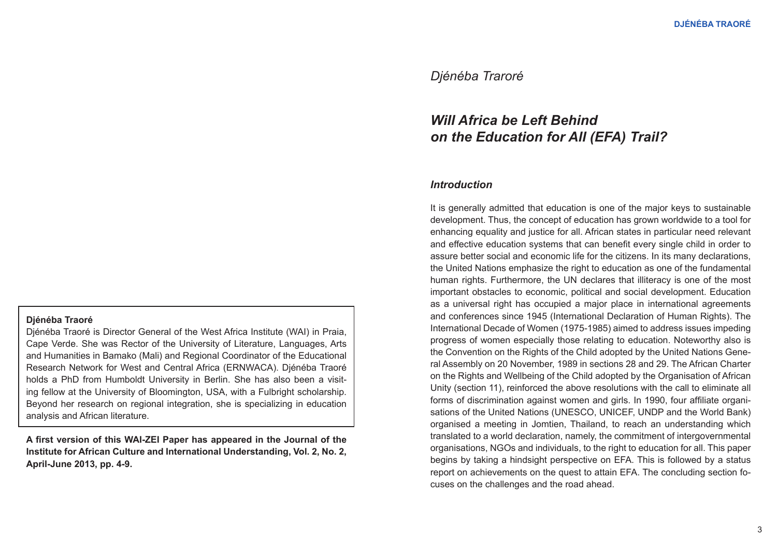# *Djénéba Traroré*

# *Will Africa be Left Behind on the Education for All (EFA) Trail?*

#### *Introduction*

It is generally admitted that education is one of the major keys to sustainable development. Thus, the concept of education has grown worldwide to a tool for enhancing equality and justice for all. African states in particular need relevant and effective education systems that can benefit every single child in order to assure better social and economic life for the citizens. In its many declarations, the United Nations emphasize the right to education as one of the fundamental human rights. Furthermore, the UN declares that illiteracy is one of the most important obstacles to economic, political and social development. Education as a universal right has occupied a major place in international agreements and conferences since 1945 (International Declaration of Human Rights). The International Decade of Women (1975-1985) aimed to address issues impeding progress of women especially those relating to education. Noteworthy also is the Convention on the Rights of the Child adopted by the United Nations General Assembly on 20 November, 1989 in sections 28 and 29. The African Charter on the Rights and Wellbeing of the Child adopted by the Organisation of African Unity (section 11), reinforced the above resolutions with the call to eliminate all forms of discrimination against women and girls. In 1990, four affiliate organisations of the United Nations (UNESCO, UNICEF, UNDP and the World Bank) organised a meeting in Jomtien, Thailand, to reach an understanding which translated to a world declaration, namely, the commitment of intergovernmental organisations, NGOs and individuals, to the right to education for all. This paper begins by taking a hindsight perspective on EFA. This is followed by a status report on achievements on the quest to attain EFA. The concluding section focuses on the challenges and the road ahead.

#### **Djénéba Traoré**

Djénéba Traoré is Director General of the West Africa Institute (WAI) in Praia, Cape Verde. She was Rector of the University of Literature, Languages, Arts and Humanities in Bamako (Mali) and Regional Coordinator of the Educational Research Network for West and Central Africa (ERNWACA). Djénéba Traoré holds a PhD from Humboldt University in Berlin. She has also been a visiting fellow at the University of Bloomington, USA, with a Fulbright scholarship. Beyond her research on regional integration, she is specializing in education analysis and African literature.

**A first version of this WAI-ZEI Paper has appeared in the Journal of the Institute for African Culture and International Understanding, Vol. 2, No. 2, April-June 2013, pp. 4-9.**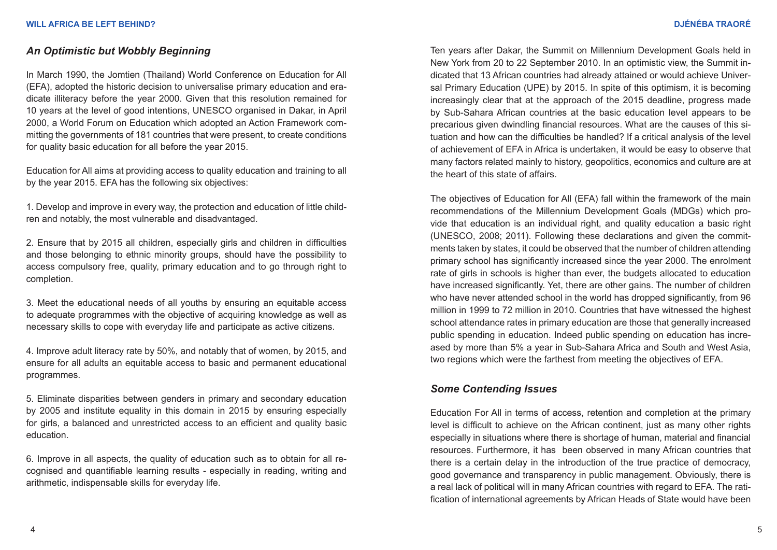# *An Optimistic but Wobbly Beginning*

In March 1990, the Jomtien (Thailand) World Conference on Education for All (EFA), adopted the historic decision to universalise primary education and eradicate illiteracy before the year 2000. Given that this resolution remained for 10 years at the level of good intentions, UNESCO organised in Dakar, in April 2000, a World Forum on Education which adopted an Action Framework committing the governments of 181 countries that were present, to create conditions for quality basic education for all before the year 2015.

Education for All aims at providing access to quality education and training to all by the year 2015. EFA has the following six objectives:

1. Develop and improve in every way, the protection and education of little children and notably, the most vulnerable and disadvantaged.

2. Ensure that by 2015 all children, especially girls and children in difficulties and those belonging to ethnic minority groups, should have the possibility to access compulsory free, quality, primary education and to go through right to completion.

3. Meet the educational needs of all youths by ensuring an equitable access to adequate programmes with the objective of acquiring knowledge as well as necessary skills to cope with everyday life and participate as active citizens.

4. Improve adult literacy rate by 50%, and notably that of women, by 2015, and ensure for all adults an equitable access to basic and permanent educational programmes.

5. Eliminate disparities between genders in primary and secondary education by 2005 and institute equality in this domain in 2015 by ensuring especially for girls, a balanced and unrestricted access to an efficient and quality basic education.

6. Improve in all aspects, the quality of education such as to obtain for all recognised and quantifiable learning results - especially in reading, writing and arithmetic, indispensable skills for everyday life.

Ten years after Dakar, the Summit on Millennium Development Goals held in New York from 20 to 22 September 2010. In an optimistic view, the Summit indicated that 13 African countries had already attained or would achieve Universal Primary Education (UPE) by 2015. In spite of this optimism, it is becoming increasingly clear that at the approach of the 2015 deadline, progress made by Sub-Sahara African countries at the basic education level appears to be precarious given dwindling financial resources. What are the causes of this situation and how can the difficulties be handled? If a critical analysis of the level of achievement of EFA in Africa is undertaken, it would be easy to observe that many factors related mainly to history, geopolitics, economics and culture are at the heart of this state of affairs.

The objectives of Education for All (EFA) fall within the framework of the main recommendations of the Millennium Development Goals (MDGs) which provide that education is an individual right, and quality education a basic right (UNESCO, 2008; 2011). Following these declarations and given the commitments taken by states, it could be observed that the number of children attending primary school has significantly increased since the year 2000. The enrolment rate of girls in schools is higher than ever, the budgets allocated to education have increased significantly. Yet, there are other gains. The number of children who have never attended school in the world has dropped significantly, from 96 million in 1999 to 72 million in 2010. Countries that have witnessed the highest school attendance rates in primary education are those that generally increased public spending in education. Indeed public spending on education has increased by more than 5% a year in Sub-Sahara Africa and South and West Asia, two regions which were the farthest from meeting the objectives of EFA.

# *Some Contending Issues*

Education For All in terms of access, retention and completion at the primary level is difficult to achieve on the African continent, just as many other rights especially in situations where there is shortage of human, material and financial resources. Furthermore, it has been observed in many African countries that there is a certain delay in the introduction of the true practice of democracy, good governance and transparency in public management. Obviously, there is a real lack of political will in many African countries with regard to EFA. The ratification of international agreements by African Heads of State would have been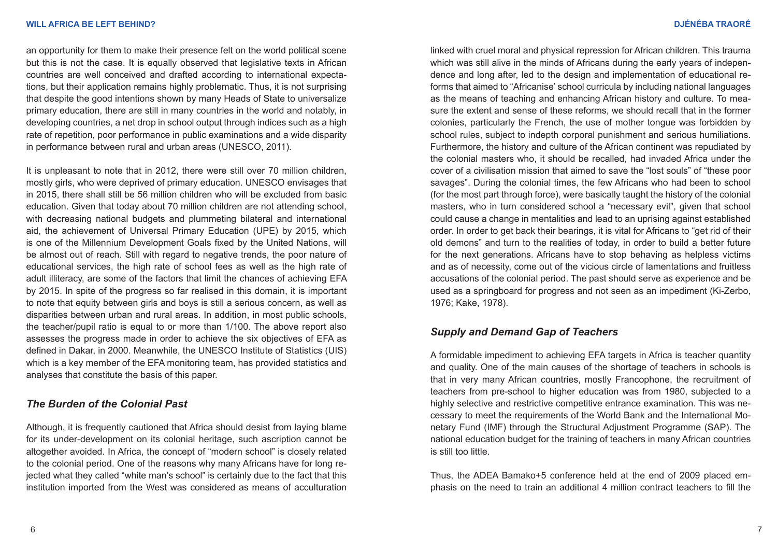#### **WILL AFRICA BE LEFT BEHIND? DJÉNÉBA TRAORÉ**

an opportunity for them to make their presence felt on the world political scene but this is not the case. It is equally observed that legislative texts in African countries are well conceived and drafted according to international expectations, but their application remains highly problematic. Thus, it is not surprising that despite the good intentions shown by many Heads of State to universalize primary education, there are still in many countries in the world and notably, in developing countries, a net drop in school output through indices such as a high rate of repetition, poor performance in public examinations and a wide disparity in performance between rural and urban areas (UNESCO, 2011).

It is unpleasant to note that in 2012, there were still over 70 million children, mostly girls, who were deprived of primary education. UNESCO envisages that in 2015, there shall still be 56 million children who will be excluded from basic education. Given that today about 70 million children are not attending school, with decreasing national budgets and plummeting bilateral and international aid, the achievement of Universal Primary Education (UPE) by 2015, which is one of the Millennium Development Goals fixed by the United Nations, will be almost out of reach. Still with regard to negative trends, the poor nature of educational services, the high rate of school fees as well as the high rate of adult illiteracy, are some of the factors that limit the chances of achieving EFA by 2015. In spite of the progress so far realised in this domain, it is important to note that equity between girls and boys is still a serious concern, as well as disparities between urban and rural areas. In addition, in most public schools, the teacher/pupil ratio is equal to or more than 1/100. The above report also assesses the progress made in order to achieve the six objectives of EFA as defined in Dakar, in 2000. Meanwhile, the UNESCO Institute of Statistics (UIS) which is a key member of the EFA monitoring team, has provided statistics and analyses that constitute the basis of this paper.

#### *The Burden of the Colonial Past*

Although, it is frequently cautioned that Africa should desist from laying blame for its under-development on its colonial heritage, such ascription cannot be altogether avoided. In Africa, the concept of "modern school" is closely related to the colonial period. One of the reasons why many Africans have for long rejected what they called "white man's school" is certainly due to the fact that this institution imported from the West was considered as means of acculturation linked with cruel moral and physical repression for African children. This trauma which was still alive in the minds of Africans during the early years of independence and long after, led to the design and implementation of educational reforms that aimed to "Africanise' school curricula by including national languages as the means of teaching and enhancing African history and culture. To measure the extent and sense of these reforms, we should recall that in the former colonies, particularly the French, the use of mother tongue was forbidden by school rules, subject to indepth corporal punishment and serious humiliations. Furthermore, the history and culture of the African continent was repudiated by the colonial masters who, it should be recalled, had invaded Africa under the cover of a civilisation mission that aimed to save the "lost souls" of "these poor savages". During the colonial times, the few Africans who had been to school (for the most part through force), were basically taught the history of the colonial masters, who in turn considered school a "necessary evil", given that school could cause a change in mentalities and lead to an uprising against established order. In order to get back their bearings, it is vital for Africans to "get rid of their old demons" and turn to the realities of today, in order to build a better future for the next generations. Africans have to stop behaving as helpless victims and as of necessity, come out of the vicious circle of lamentations and fruitless accusations of the colonial period. The past should serve as experience and be used as a springboard for progress and not seen as an impediment (Ki-Zerbo, 1976; Kake, 1978).

# *Supply and Demand Gap of Teachers*

A formidable impediment to achieving EFA targets in Africa is teacher quantity and quality. One of the main causes of the shortage of teachers in schools is that in very many African countries, mostly Francophone, the recruitment of teachers from pre-school to higher education was from 1980, subjected to a highly selective and restrictive competitive entrance examination. This was necessary to meet the requirements of the World Bank and the International Monetary Fund (IMF) through the Structural Adjustment Programme (SAP). The national education budget for the training of teachers in many African countries is still too little.

Thus, the ADEA Bamako+5 conference held at the end of 2009 placed emphasis on the need to train an additional 4 million contract teachers to fill the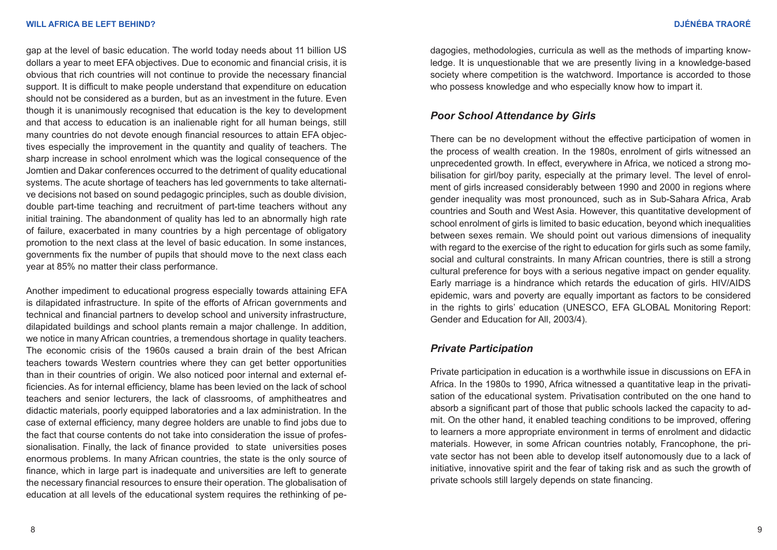gap at the level of basic education. The world today needs about 11 billion US dollars a year to meet EFA objectives. Due to economic and financial crisis, it is obvious that rich countries will not continue to provide the necessary financial support. It is difficult to make people understand that expenditure on education should not be considered as a burden, but as an investment in the future. Even though it is unanimously recognised that education is the key to development and that access to education is an inalienable right for all human beings, still many countries do not devote enough financial resources to attain EFA objectives especially the improvement in the quantity and quality of teachers. The sharp increase in school enrolment which was the logical consequence of the Jomtien and Dakar conferences occurred to the detriment of quality educational systems. The acute shortage of teachers has led governments to take alternative decisions not based on sound pedagogic principles, such as double division, double part-time teaching and recruitment of part-time teachers without any initial training. The abandonment of quality has led to an abnormally high rate of failure, exacerbated in many countries by a high percentage of obligatory promotion to the next class at the level of basic education. In some instances, governments fix the number of pupils that should move to the next class each year at 85% no matter their class performance.

Another impediment to educational progress especially towards attaining EFA is dilapidated infrastructure. In spite of the efforts of African governments and technical and financial partners to develop school and university infrastructure, dilapidated buildings and school plants remain a major challenge. In addition, we notice in many African countries, a tremendous shortage in quality teachers. The economic crisis of the 1960s caused a brain drain of the best African teachers towards Western countries where they can get better opportunities than in their countries of origin. We also noticed poor internal and external efficiencies. As for internal efficiency, blame has been levied on the lack of school teachers and senior lecturers, the lack of classrooms, of amphitheatres and didactic materials, poorly equipped laboratories and a lax administration. In the case of external efficiency, many degree holders are unable to find jobs due to the fact that course contents do not take into consideration the issue of professionalisation. Finally, the lack of finance provided to state universities poses enormous problems. In many African countries, the state is the only source of finance, which in large part is inadequate and universities are left to generate the necessary financial resources to ensure their operation. The globalisation of education at all levels of the educational system requires the rethinking of pedagogies, methodologies, curricula as well as the methods of imparting knowledge. It is unquestionable that we are presently living in a knowledge-based society where competition is the watchword. Importance is accorded to those who possess knowledge and who especially know how to impart it.

# *Poor School Attendance by Girls*

There can be no development without the effective participation of women in the process of wealth creation. In the 1980s, enrolment of girls witnessed an unprecedented growth. In effect, everywhere in Africa, we noticed a strong mobilisation for girl/boy parity, especially at the primary level. The level of enrolment of girls increased considerably between 1990 and 2000 in regions where gender inequality was most pronounced, such as in Sub-Sahara Africa, Arab countries and South and West Asia. However, this quantitative development of school enrolment of girls is limited to basic education, beyond which inequalities between sexes remain. We should point out various dimensions of inequality with regard to the exercise of the right to education for girls such as some family, social and cultural constraints. In many African countries, there is still a strong cultural preference for boys with a serious negative impact on gender equality. Early marriage is a hindrance which retards the education of girls. HIV/AIDS epidemic, wars and poverty are equally important as factors to be considered in the rights to girls' education (UNESCO, EFA GLOBAL Monitoring Report: Gender and Education for All, 2003/4).

# *Private Participation*

Private participation in education is a worthwhile issue in discussions on EFA in Africa. In the 1980s to 1990, Africa witnessed a quantitative leap in the privatisation of the educational system. Privatisation contributed on the one hand to absorb a significant part of those that public schools lacked the capacity to admit. On the other hand, it enabled teaching conditions to be improved, offering to learners a more appropriate environment in terms of enrolment and didactic materials. However, in some African countries notably, Francophone, the private sector has not been able to develop itself autonomously due to a lack of initiative, innovative spirit and the fear of taking risk and as such the growth of private schools still largely depends on state financing.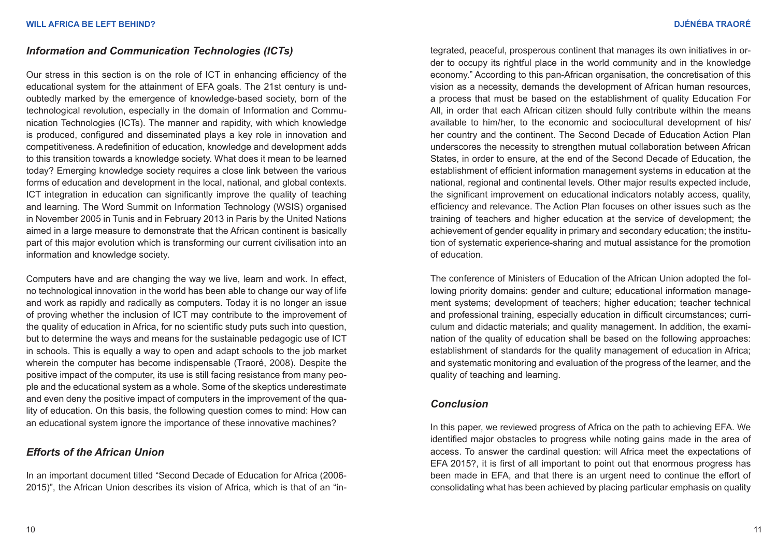# *Information and Communication Technologies (ICTs)*

Our stress in this section is on the role of ICT in enhancing efficiency of the educational system for the attainment of EFA goals. The 21st century is undoubtedly marked by the emergence of knowledge-based society, born of the technological revolution, especially in the domain of Information and Communication Technologies (ICTs). The manner and rapidity, with which knowledge is produced, configured and disseminated plays a key role in innovation and competitiveness. A redefinition of education, knowledge and development adds to this transition towards a knowledge society. What does it mean to be learned today? Emerging knowledge society requires a close link between the various forms of education and development in the local, national, and global contexts. ICT integration in education can significantly improve the quality of teaching and learning. The Word Summit on Information Technology (WSIS) organised in November 2005 in Tunis and in February 2013 in Paris by the United Nations aimed in a large measure to demonstrate that the African continent is basically part of this major evolution which is transforming our current civilisation into an information and knowledge society.

Computers have and are changing the way we live, learn and work. In effect, no technological innovation in the world has been able to change our way of life and work as rapidly and radically as computers. Today it is no longer an issue of proving whether the inclusion of ICT may contribute to the improvement of the quality of education in Africa, for no scientific study puts such into question, but to determine the ways and means for the sustainable pedagogic use of ICT in schools. This is equally a way to open and adapt schools to the job market wherein the computer has become indispensable (Traoré, 2008). Despite the positive impact of the computer, its use is still facing resistance from many people and the educational system as a whole. Some of the skeptics underestimate and even deny the positive impact of computers in the improvement of the quality of education. On this basis, the following question comes to mind: How can an educational system ignore the importance of these innovative machines?

# *Efforts of the African Union*

In an important document titled "Second Decade of Education for Africa (2006- 2015)", the African Union describes its vision of Africa, which is that of an "integrated, peaceful, prosperous continent that manages its own initiatives in order to occupy its rightful place in the world community and in the knowledge economy." According to this pan-African organisation, the concretisation of this vision as a necessity, demands the development of African human resources, a process that must be based on the establishment of quality Education For All, in order that each African citizen should fully contribute within the means available to him/her, to the economic and sociocultural development of his/ her country and the continent. The Second Decade of Education Action Plan underscores the necessity to strengthen mutual collaboration between African States, in order to ensure, at the end of the Second Decade of Education, the establishment of efficient information management systems in education at the national, regional and continental levels. Other major results expected include, the significant improvement on educational indicators notably access, quality, efficiency and relevance. The Action Plan focuses on other issues such as the training of teachers and higher education at the service of development; the achievement of gender equality in primary and secondary education; the institution of systematic experience-sharing and mutual assistance for the promotion of education.

The conference of Ministers of Education of the African Union adopted the following priority domains: gender and culture; educational information management systems; development of teachers; higher education; teacher technical and professional training, especially education in difficult circumstances; curriculum and didactic materials; and quality management. In addition, the examination of the quality of education shall be based on the following approaches: establishment of standards for the quality management of education in Africa; and systematic monitoring and evaluation of the progress of the learner, and the quality of teaching and learning.

# *Conclusion*

In this paper, we reviewed progress of Africa on the path to achieving EFA. We identified major obstacles to progress while noting gains made in the area of access. To answer the cardinal question: will Africa meet the expectations of EFA 2015?, it is first of all important to point out that enormous progress has been made in EFA, and that there is an urgent need to continue the effort of consolidating what has been achieved by placing particular emphasis on quality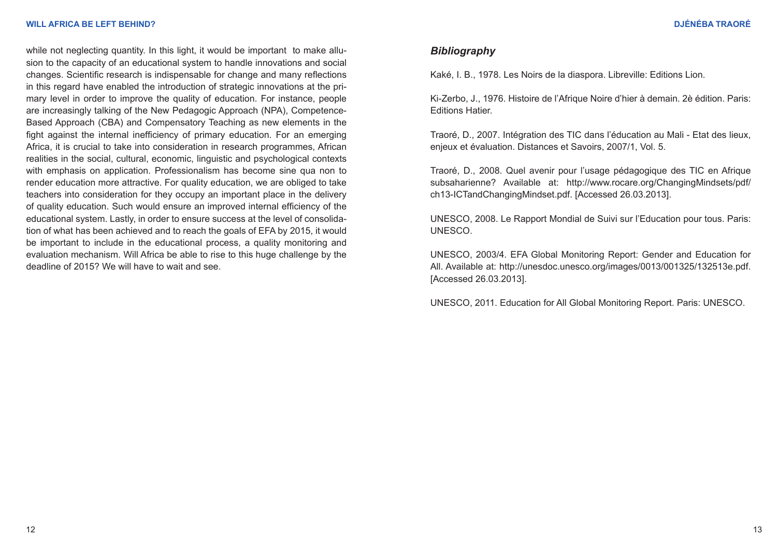while not neglecting quantity. In this light, it would be important to make allusion to the capacity of an educational system to handle innovations and social changes. Scientific research is indispensable for change and many reflections in this regard have enabled the introduction of strategic innovations at the primary level in order to improve the quality of education. For instance, people are increasingly talking of the New Pedagogic Approach (NPA), Competence-Based Approach (CBA) and Compensatory Teaching as new elements in the fight against the internal inefficiency of primary education. For an emerging Africa, it is crucial to take into consideration in research programmes, African realities in the social, cultural, economic, linguistic and psychological contexts with emphasis on application. Professionalism has become sine qua non to render education more attractive. For quality education, we are obliged to take teachers into consideration for they occupy an important place in the delivery of quality education. Such would ensure an improved internal efficiency of the educational system. Lastly, in order to ensure success at the level of consolidation of what has been achieved and to reach the goals of EFA by 2015, it would be important to include in the educational process, a quality monitoring and evaluation mechanism. Will Africa be able to rise to this huge challenge by the deadline of 2015? We will have to wait and see.

### *Bibliography*

Kaké, I. B., 1978. Les Noirs de la diaspora. Libreville: Editions Lion.

Ki-Zerbo, J., 1976. Histoire de l'Afrique Noire d'hier à demain. 2è édition. Paris: Editions Hatier.

Traoré, D., 2007. Intégration des TIC dans l'éducation au Mali - Etat des lieux, enjeux et évaluation. Distances et Savoirs, 2007/1, Vol. 5.

Traoré, D., 2008. Quel avenir pour l'usage pédagogique des TIC en Afrique subsaharienne? Available at: [http://www.rocare.org/ChangingMindsets/pdf/](http://www.rocare.org/ChangingMindsets/pdf/ch13-ICTandChangingMindset.pdf) [ch13-ICTandChangingMindset.pdf.](http://www.rocare.org/ChangingMindsets/pdf/ch13-ICTandChangingMindset.pdf) [Accessed 26.03.2013].

UNESCO, 2008. Le Rapport Mondial de Suivi sur l'Education pour tous. Paris: UNESCO.

UNESCO, 2003/4. EFA Global Monitoring Report: Gender and Education for All. Available at: http://unesdoc.unesco.org/images/0013/001325/132513e.pdf[.](http://www.rocare.org/ChangingMindsets/pdf/ch13-ICTandChangingMindset.pdf)  [Accessed 26.03.2013].

UNESCO, 2011. Education for All Global Monitoring Report. Paris: UNESCO.